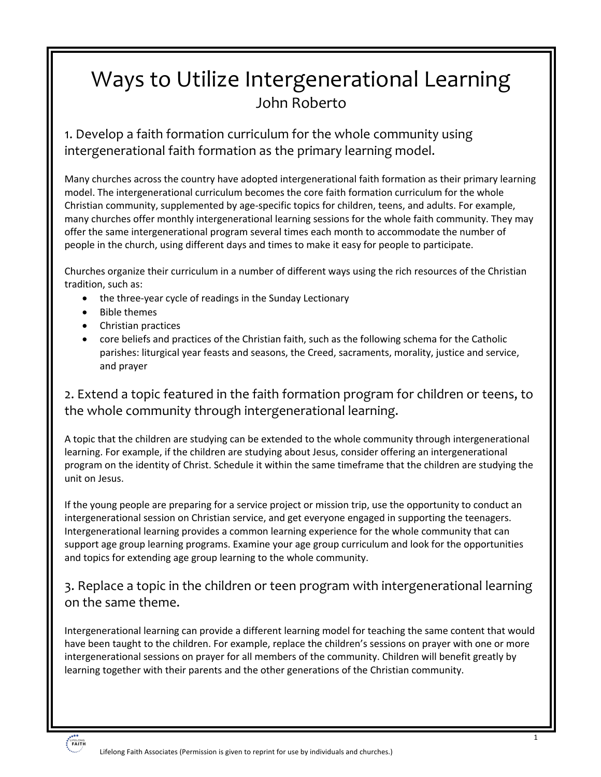# Ways to Utilize Intergenerational Learning John Roberto

1. Develop a faith formation curriculum for the whole community using intergenerational faith formation as the primary learning model.

Many churches across the country have adopted intergenerational faith formation as their primary learning model. The intergenerational curriculum becomes the core faith formation curriculum for the whole Christian community, supplemented by age-specific topics for children, teens, and adults. For example, many churches offer monthly intergenerational learning sessions for the whole faith community. They may offer the same intergenerational program several times each month to accommodate the number of people in the church, using different days and times to make it easy for people to participate.

Churches organize their curriculum in a number of different ways using the rich resources of the Christian tradition, such as:

- the three-year cycle of readings in the Sunday Lectionary
- Bible themes
- Christian practices
- core beliefs and practices of the Christian faith, such as the following schema for the Catholic parishes: liturgical year feasts and seasons, the Creed, sacraments, morality, justice and service, and prayer

2. Extend a topic featured in the faith formation program for children or teens, to the whole community through intergenerational learning.

A topic that the children are studying can be extended to the whole community through intergenerational learning. For example, if the children are studying about Jesus, consider offering an intergenerational program on the identity of Christ. Schedule it within the same timeframe that the children are studying the unit on Jesus.

If the young people are preparing for a service project or mission trip, use the opportunity to conduct an intergenerational session on Christian service, and get everyone engaged in supporting the teenagers. Intergenerational learning provides a common learning experience for the whole community that can support age group learning programs. Examine your age group curriculum and look for the opportunities and topics for extending age group learning to the whole community.

#### 3. Replace a topic in the children or teen program with intergenerational learning on the same theme.

Intergenerational learning can provide a different learning model for teaching the same content that would have been taught to the children. For example, replace the children's sessions on prayer with one or more intergenerational sessions on prayer for all members of the community. Children will benefit greatly by learning together with their parents and the other generations of the Christian community.